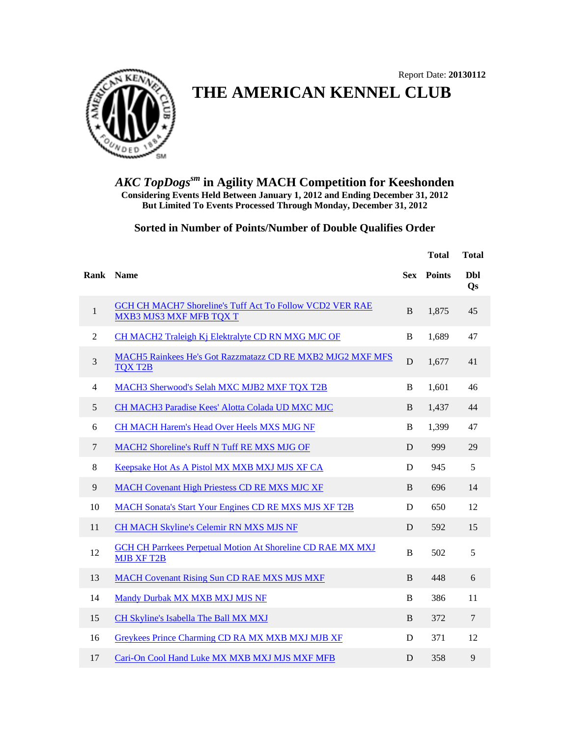

## **THE AMERICAN KENNEL CLUB**

*AKC TopDogssm* **in Agility MACH Competition for Keeshonden Considering Events Held Between January 1, 2012 and Ending December 31, 2012 But Limited To Events Processed Through Monday, December 31, 2012**

## **Sorted in Number of Points/Number of Double Qualifies Order**

|              |                                                                                            |            | <b>Total</b>  | <b>Total</b>            |
|--------------|--------------------------------------------------------------------------------------------|------------|---------------|-------------------------|
|              | Rank Name                                                                                  | <b>Sex</b> | <b>Points</b> | <b>Dbl</b><br><b>Qs</b> |
| $\mathbf{1}$ | GCH CH MACH7 Shoreline's Tuff Act To Follow VCD2 VER RAE<br><b>MXB3 MJS3 MXF MFB TQX T</b> | B          | 1,875         | 45                      |
| 2            | CH MACH2 Traleigh Kj Elektralyte CD RN MXG MJC OF                                          | B          | 1.689         | 47                      |
| 3            | MACH5 Rainkees He's Got Razzmatazz CD RE MXB2 MJG2 MXF MFS<br><b>TOX T2B</b>               | D          | 1,677         | 41                      |
| 4            | MACH3 Sherwood's Selah MXC MJB2 MXF TQX T2B                                                | B          | 1,601         | 46                      |
| 5            | CH MACH3 Paradise Kees' Alotta Colada UD MXC MJC                                           | B          | 1,437         | 44                      |
| 6            | <b>CH MACH Harem's Head Over Heels MXS MJG NF</b>                                          | B          | 1,399         | 47                      |
| 7            | MACH2 Shoreline's Ruff N Tuff RE MXS MJG OF                                                | D          | 999           | 29                      |
| 8            | Keepsake Hot As A Pistol MX MXB MXJ MJS XF CA                                              | D          | 945           | 5                       |
| 9            | <b>MACH Covenant High Priestess CD RE MXS MJC XF</b>                                       | B          | 696           | 14                      |
| 10           | <b>MACH Sonata's Start Your Engines CD RE MXS MJS XF T2B</b>                               | D          | 650           | 12                      |
| 11           | CH MACH Skyline's Celemir RN MXS MJS NF                                                    | D          | 592           | 15                      |
| 12           | GCH CH Parrkees Perpetual Motion At Shoreline CD RAE MX MXJ<br><b>MJB XF T2B</b>           | B          | 502           | 5                       |
| 13           | <b>MACH Covenant Rising Sun CD RAE MXS MJS MXF</b>                                         | B          | 448           | 6                       |
| 14           | Mandy Durbak MX MXB MXJ MJS NF                                                             | B          | 386           | 11                      |
| 15           | CH Skyline's Isabella The Ball MX MXJ                                                      | B          | 372           | $\overline{7}$          |
| 16           | Greykees Prince Charming CD RA MX MXB MXJ MJB XF                                           | D          | 371           | 12                      |
| 17           | Cari-On Cool Hand Luke MX MXB MXJ MJS MXF MFB                                              | D          | 358           | 9                       |